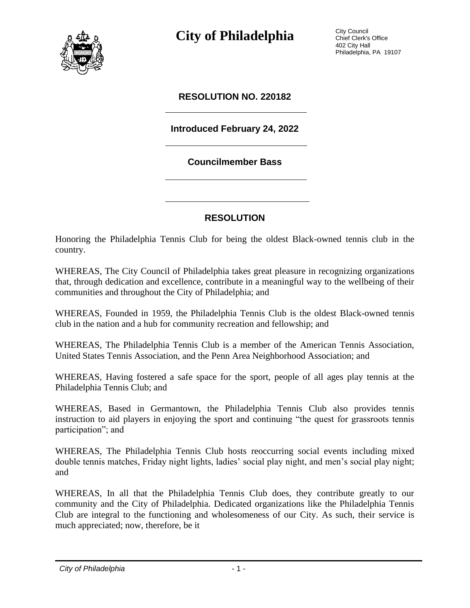

**City of Philadelphia** City Council

Chief Clerk's Office 402 City Hall Philadelphia, PA 19107

## **RESOLUTION NO. 220182**

## **Introduced February 24, 2022**

## **Councilmember Bass**

## **RESOLUTION**

Honoring the Philadelphia Tennis Club for being the oldest Black-owned tennis club in the country.

WHEREAS, The City Council of Philadelphia takes great pleasure in recognizing organizations that, through dedication and excellence, contribute in a meaningful way to the wellbeing of their communities and throughout the City of Philadelphia; and

WHEREAS, Founded in 1959, the Philadelphia Tennis Club is the oldest Black-owned tennis club in the nation and a hub for community recreation and fellowship; and

WHEREAS, The Philadelphia Tennis Club is a member of the American Tennis Association, United States Tennis Association, and the Penn Area Neighborhood Association; and

WHEREAS, Having fostered a safe space for the sport, people of all ages play tennis at the Philadelphia Tennis Club; and

WHEREAS, Based in Germantown, the Philadelphia Tennis Club also provides tennis instruction to aid players in enjoying the sport and continuing "the quest for grassroots tennis participation"; and

WHEREAS, The Philadelphia Tennis Club hosts reoccurring social events including mixed double tennis matches, Friday night lights, ladies' social play night, and men's social play night; and

WHEREAS, In all that the Philadelphia Tennis Club does, they contribute greatly to our community and the City of Philadelphia. Dedicated organizations like the Philadelphia Tennis Club are integral to the functioning and wholesomeness of our City. As such, their service is much appreciated; now, therefore, be it